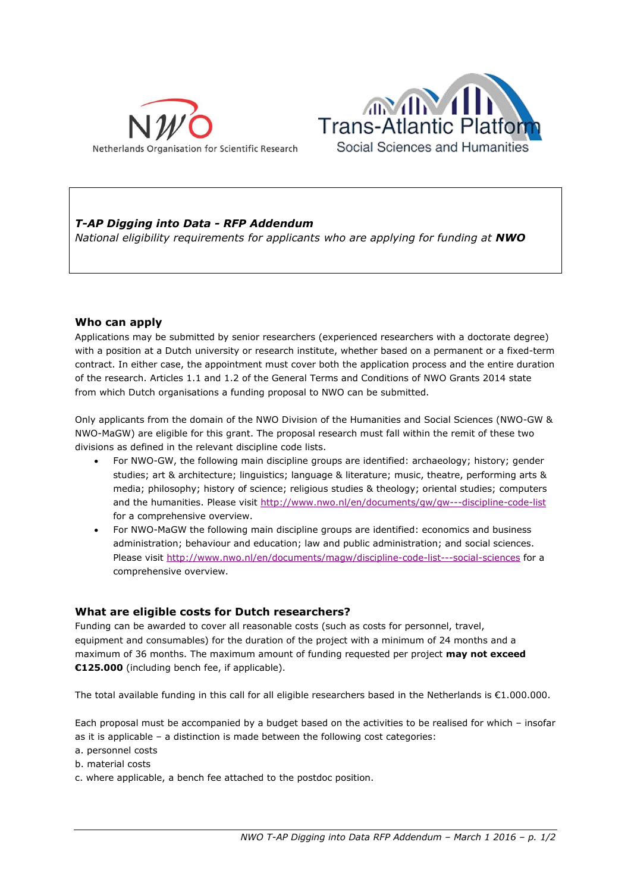



# *T-AP Digging into Data - RFP Addendum*

*National eligibility requirements for applicants who are applying for funding at NWO* 

### **Who can apply**

Applications may be submitted by senior researchers (experienced researchers with a doctorate degree) with a position at a Dutch university or research institute, whether based on a permanent or a fixed-term contract. In either case, the appointment must cover both the application process and the entire duration of the research. Articles 1.1 and 1.2 of the General Terms and Conditions of NWO Grants 2014 state from which Dutch organisations a funding proposal to NWO can be submitted.

Only applicants from the domain of the NWO Division of the Humanities and Social Sciences (NWO-GW & NWO-MaGW) are eligible for this grant. The proposal research must fall within the remit of these two divisions as defined in the relevant discipline code lists.

- For NWO-GW, the following main discipline groups are identified: archaeology; history; gender studies; art & architecture; linguistics; language & literature; music, theatre, performing arts & media; philosophy; history of science; religious studies & theology; oriental studies; computers and the humanities. Please visit<http://www.nwo.nl/en/documents/gw/gw---discipline-code-list> for a comprehensive overview.
- For NWO-MaGW the following main discipline groups are identified: economics and business administration; behaviour and education; law and public administration; and social sciences. Please visit<http://www.nwo.nl/en/documents/magw/discipline-code-list---social-sciences> for a comprehensive overview.

### **What are eligible costs for Dutch researchers?**

Funding can be awarded to cover all reasonable costs (such as costs for personnel, travel, equipment and consumables) for the duration of the project with a minimum of 24 months and a maximum of 36 months. The maximum amount of funding requested per project **may not exceed €125.000** (including bench fee, if applicable).

The total available funding in this call for all eligible researchers based in the Netherlands is  $\epsilon$ 1.000.000.

Each proposal must be accompanied by a budget based on the activities to be realised for which – insofar as it is applicable – a distinction is made between the following cost categories:

- a. personnel costs
- b. material costs
- c. where applicable, a bench fee attached to the postdoc position.